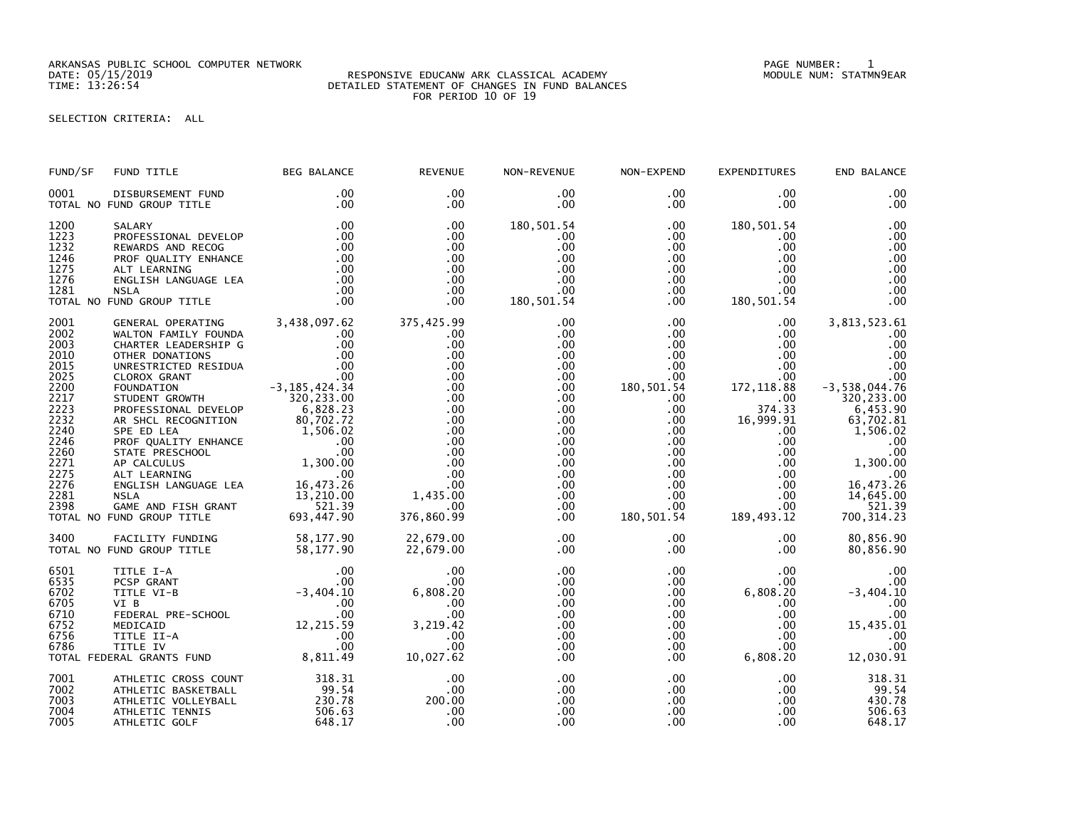ARKANSAS PUBLIC SCHOOL COMPUTER NETWORK PAGE NUMBER: 1

## DATE: 05/15/2019 RESPONSIVE EDUCANW ARK CLASSICAL ACADEMY MODULE NUM: STATMN9EAR TIME: 13:26:54 DETAILED STATEMENT OF CHANGES IN FUND BALANCES FOR PERIOD 10 OF 19

## SELECTION CRITERIA: ALL

| FUND/SF                                                                                                                                      | FUND TITLE                                                                                                                                                                                                                                                                                                                                                                                                                                                                                                                           | <b>BEG BALANCE</b>                                                                                                                          | <b>REVENUE</b>                                                                                                                                       | NON-REVENUE                                                                                                                            | NON-EXPEND                                                                                                                                                                                                                            | <b>EXPENDITURES</b>                                                                                                                                                                                                                          | END BALANCE                                                                                                                                                                                             |
|----------------------------------------------------------------------------------------------------------------------------------------------|--------------------------------------------------------------------------------------------------------------------------------------------------------------------------------------------------------------------------------------------------------------------------------------------------------------------------------------------------------------------------------------------------------------------------------------------------------------------------------------------------------------------------------------|---------------------------------------------------------------------------------------------------------------------------------------------|------------------------------------------------------------------------------------------------------------------------------------------------------|----------------------------------------------------------------------------------------------------------------------------------------|---------------------------------------------------------------------------------------------------------------------------------------------------------------------------------------------------------------------------------------|----------------------------------------------------------------------------------------------------------------------------------------------------------------------------------------------------------------------------------------------|---------------------------------------------------------------------------------------------------------------------------------------------------------------------------------------------------------|
| 0001                                                                                                                                         | DISBURSEMENT FUND<br>TOTAL NO FUND GROUP TITLE                                                                                                                                                                                                                                                                                                                                                                                                                                                                                       | .00<br>.00                                                                                                                                  | .00<br>$.00 \,$                                                                                                                                      | $.00 \,$<br>$.00 \,$                                                                                                                   | .00<br>$.00 \,$                                                                                                                                                                                                                       | $.00 \,$<br>$.00 \,$                                                                                                                                                                                                                         | .00<br>.00                                                                                                                                                                                              |
| 1200<br>1223<br>1232<br>1246<br>1275<br>1276<br>1281                                                                                         | SALARY<br>PROFESSIONAL DEVELOP<br>REWARDS AND RECOG<br>PROF QUALITY ENHANCE<br>ALT LEARNING<br>ENGLISH LANGUAGE LEA<br><b>NSLA</b><br>TOTAL NO FUND GROUP TITLE                                                                                                                                                                                                                                                                                                                                                                      | .00<br>$\begin{array}{r} .00\ 0.00\ 0.00\ 0.00\ 0.00\ 0.00\end{array}$<br>.00<br>.00                                                        | .00<br>.00<br>.00<br>.00<br>.00<br>.00<br>.00<br>.00                                                                                                 | 180,501.54<br>.00<br>.00<br>.00<br>.00<br>$.00 \,$<br>$.00 \,$<br>180, 501.54                                                          | $.00 \,$<br>$.00 \,$<br>$.00 \,$<br>.00 <sub>1</sub><br>$.00\,$<br>.00<br>$.00 \,$<br>.00                                                                                                                                             | 180,501.54<br>$.00 \,$<br>$.00 \,$<br>$.00 \,$<br>$.00 \,$<br>$.00 \,$<br>$.00 \,$<br>180,501.54                                                                                                                                             | .00<br>.00<br>.00<br>$.00$<br>$.00$<br>.00<br>.00<br>.00                                                                                                                                                |
| 2001<br>2002<br>2003<br>2010<br>2015<br>2025<br>2200<br>2217<br>2223<br>2232<br>2240<br>2246<br>2260<br>2271<br>2275<br>2276<br>2281<br>2398 | GENERAL OPERATING 3,438,097.62<br>WALTON FAMILY FOUNDA<br>CHARTER LEADERSHIP G<br>OTHER DONATIONS<br>UNRESTRICTED RESIDUA<br>CLOROX GRANT<br>FOUNDATION<br>STUDENT GROWTH<br>PROFESSIONAL DEVELOP<br>AR SHCL RECOGNITION<br>AR SHELL RECONNITION<br>PROF QUALITY ENHANCE<br>STATE PRESCHOOL 00<br>STATE PRESCHOOL 00<br>AP CALCULUS 1,300.00<br>ALT LEARNING 00<br>ALT LEARNING 00<br>ENGLISH LANGUAGE LEA 16,473.26<br>NSLA 13,210.00<br>NSLA 13,210.00<br>13,210.00<br>13,210.<br>GAME AND FISH GRANT<br>TOTAL NO FUND GROUP TITLE | .00<br>.00<br>.00<br>00.00<br>00 .<br>3, 185 , 424 . 34 .<br>320 . 233 . 00<br>320, 233.00<br>6,828.23<br>80,702.72<br>521.39<br>693,447.90 | 375,425.99<br>.00<br>.00<br>.00<br>.00<br>.00<br>.00<br>.00<br>.00<br>.00<br>.00<br>.00<br>.00<br>.00<br>.00<br>.00<br>1,435.00<br>.00<br>376,860.99 | .00<br>.00<br>.00<br>.00<br>.00<br>.00<br>.00<br>.00<br>.00<br>.00<br>$.00 \,$<br>.00<br>.00<br>.00<br>.00<br>.00<br>.00<br>.00<br>.00 | $.00 \,$<br>$.00 \,$<br>$.00 \ \,$<br>.00 <sub>1</sub><br>$.00 \,$<br>$.00 \,$<br>180,501.54<br>$.00 \,$<br>$.00 \,$<br>$.00 \,$<br>$.00 \,$<br>$.00\,$<br>$.00\,$<br>$.00\,$<br>$.00\,$<br>.00<br>$.00 \,$<br>$.00 \,$<br>180,501.54 | $.00 \,$<br>$.00 \,$<br>$.00 \,$<br>$.00 \,$<br>$.00 \,$<br>$.00 \,$<br>172, 118.88<br>$.00 \,$<br>374.33<br>16,999.91<br>$.00 \,$<br>$.00 \,$<br>.00 <sub>1</sub><br>$.00 \,$<br>$.00 \,$<br>$.00 \,$<br>$.00 \,$<br>$.00 \,$<br>189,493.12 | 3,813,523.61<br>.00<br>.00<br>.00<br>.00<br>.00<br>$-3,538,044.76$<br>320, 233.00<br>$6,453.90$<br>$63,702.81$<br>1,506.02<br>.00<br>.00<br>1,300.00<br>16,473.26<br>14,645.00<br>521.39<br>700, 314.23 |
| 3400                                                                                                                                         | FACILITY FUNDING<br>UND GROUP TITLE<br>TOTAL NO FUND GROUP TITLE                                                                                                                                                                                                                                                                                                                                                                                                                                                                     | 58,177.90<br>58,177.90                                                                                                                      | 22,679.00<br>22,679.00                                                                                                                               | .00<br>.00                                                                                                                             | $.00 \,$<br>$.00 \,$                                                                                                                                                                                                                  | $.00 \,$<br>$.00 \,$                                                                                                                                                                                                                         | 80,856.90<br>80,856.90                                                                                                                                                                                  |
| 6501<br>6535<br>6702<br>6705<br>6710<br>6752<br>6756<br>6786                                                                                 | TITLE I-A<br>PCSP GRANT<br>TITLE VI-B<br>VI B<br>VI B<br>FEDERAL PRE-SCHOOL 12,215.59<br>MEDICAID 12,215.59<br>TITLE II-A .00<br>TITLE IV .00<br>ERAL GRANTS FUND 8,811.49<br>TOTAL FEDERAL GRANTS FUND                                                                                                                                                                                                                                                                                                                              | $00$<br>.00<br>-3 , 404 . 10<br>.00                                                                                                         | .00<br>.00<br>6,808.20<br>.00<br>.00<br>3,219.42<br>.00<br>.00<br>10,027.62                                                                          | .00<br>.00<br>.00<br>.00<br>.00<br>.00<br>.00<br>.00<br>$.00 \,$                                                                       | $.00 \,$<br>$.00 \,$<br>$.00 \,$<br>$.00 \,$<br>$.00 \,$<br>$.00 \,$<br>$.00 \,$<br>$.00 \,$<br>.00                                                                                                                                   | .00<br>.00<br>6,808.20<br>$.00 \,$<br>$.00 \,$<br>$.00 \,$<br>$.00 \,$<br>.00.<br>6,808.20                                                                                                                                                   | .00<br>.00<br>$-3,404.10$<br>.00<br>.00<br>15,435.01<br>.00<br>.00<br>12,030.91                                                                                                                         |
| 7001<br>7002<br>7003<br>7004<br>7005                                                                                                         | ATHLETIC CROSS COUNT<br>ATHLETIC BASKETBALL<br>ATHLETIC VOLLEYBALL<br>ATHLETIC TENNIS<br>ATHLETIC GOLF                                                                                                                                                                                                                                                                                                                                                                                                                               | 318.31<br>99.54<br>230.78<br>506.63<br>648.17                                                                                               | .00<br>.00<br>200.00<br>.00<br>.00                                                                                                                   | .00<br>.00<br>.00<br>.00<br>.00                                                                                                        | $.00 \,$<br>$.00 \ \,$<br>$.00 \,$<br>$.00 \,$<br>.00 <sub>1</sub>                                                                                                                                                                    | $.00 \,$<br>$.00 \,$<br>$.00 \,$<br>$.00 \,$<br>$.00 \,$                                                                                                                                                                                     | 318.31<br>99.54<br>430.78<br>506.63<br>648.17                                                                                                                                                           |